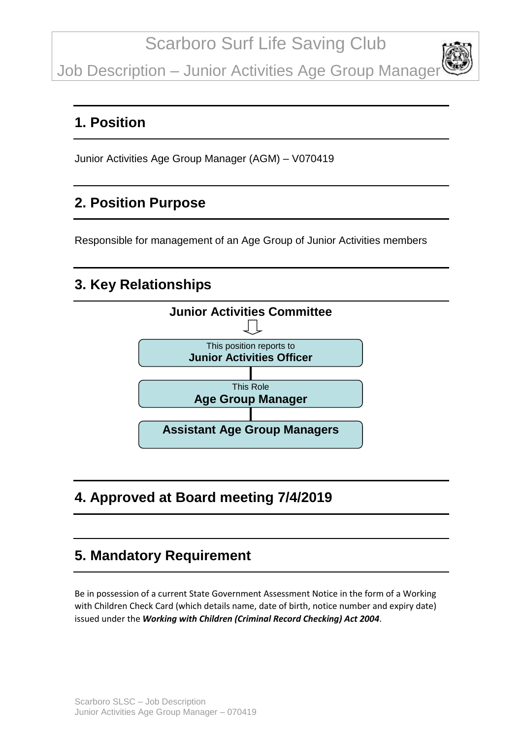Job Description - Junior Activities Age Group Manager

#### **1. Position**

Junior Activities Age Group Manager (AGM) – V070419

### **2. Position Purpose**

Responsible for management of an Age Group of Junior Activities members

### **3. Key Relationships**



# **4. Approved at Board meeting 7/4/2019**

### **5. Mandatory Requirement**

Be in possession of a current State Government Assessment Notice in the form of a Working with Children Check Card (which details name, date of birth, notice number and expiry date) issued under the *Working with Children (Criminal Record Checking) Act 2004*.